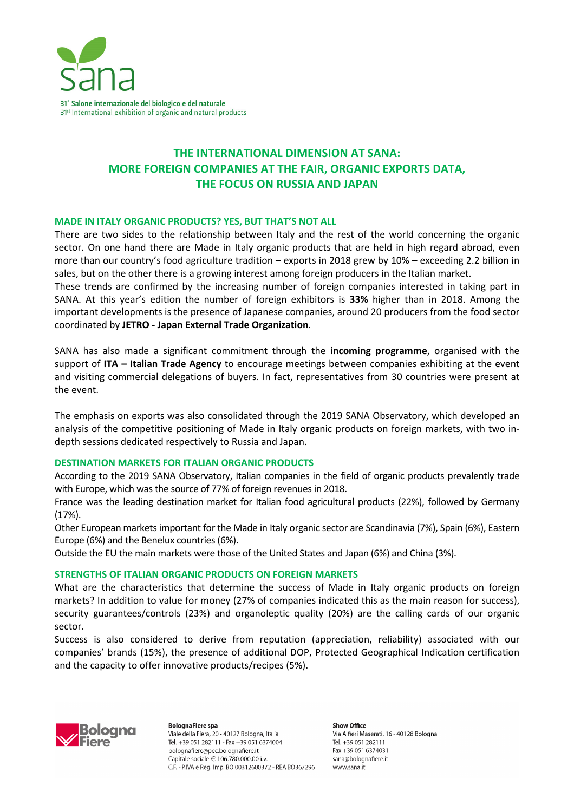

# **THE INTERNATIONAL DIMENSION AT SANA: MORE FOREIGN COMPANIES AT THE FAIR, ORGANIC EXPORTS DATA, THE FOCUS ON RUSSIA AND JAPAN**

# **MADE IN ITALY ORGANIC PRODUCTS? YES, BUT THAT'S NOT ALL**

There are two sides to the relationship between Italy and the rest of the world concerning the organic sector. On one hand there are Made in Italy organic products that are held in high regard abroad, even more than our country's food agriculture tradition – exports in 2018 grew by 10% – exceeding 2.2 billion in sales, but on the other there is a growing interest among foreign producers in the Italian market.

These trends are confirmed by the increasing number of foreign companies interested in taking part in SANA. At this year's edition the number of foreign exhibitors is **33%** higher than in 2018. Among the important developments is the presence of Japanese companies, around 20 producers from the food sector coordinated by **JETRO - Japan External Trade Organization**.

SANA has also made a significant commitment through the **incoming programme**, organised with the support of **ITA – Italian Trade Agency** to encourage meetings between companies exhibiting at the event and visiting commercial delegations of buyers. In fact, representatives from 30 countries were present at the event.

The emphasis on exports was also consolidated through the 2019 SANA Observatory, which developed an analysis of the competitive positioning of Made in Italy organic products on foreign markets, with two indepth sessions dedicated respectively to Russia and Japan.

#### **DESTINATION MARKETS FOR ITALIAN ORGANIC PRODUCTS**

According to the 2019 SANA Observatory, Italian companies in the field of organic products prevalently trade with Europe, which was the source of 77% of foreign revenues in 2018.

France was the leading destination market for Italian food agricultural products (22%), followed by Germany (17%).

Other European markets important for the Made in Italy organic sector are Scandinavia (7%), Spain (6%), Eastern Europe (6%) and the Benelux countries (6%).

Outside the EU the main markets were those of the United States and Japan (6%) and China (3%).

# **STRENGTHS OF ITALIAN ORGANIC PRODUCTS ON FOREIGN MARKETS**

What are the characteristics that determine the success of Made in Italy organic products on foreign markets? In addition to value for money (27% of companies indicated this as the main reason for success), security guarantees/controls (23%) and organoleptic quality (20%) are the calling cards of our organic sector.

Success is also considered to derive from reputation (appreciation, reliability) associated with our companies' brands (15%), the presence of additional DOP, Protected Geographical Indication certification and the capacity to offer innovative products/recipes (5%).



**BolognaFiere spa** Viale della Fiera, 20 - 40127 Bologna, Italia Tel. +39 051 282111 - Fax +39 051 6374004 bolognafiere@pec.bolognafiere.it Capitale sociale € 106.780.000.00 i.v. C.F. - P.IVA e Reg. Imp. BO 00312600372 - REA BO367296

Show Office Via Alfieri Maserati, 16 - 40128 Bologna Tel. +39 051 282111 Fax +39 051 6374031 sana@bolognafiere.it www.sana.it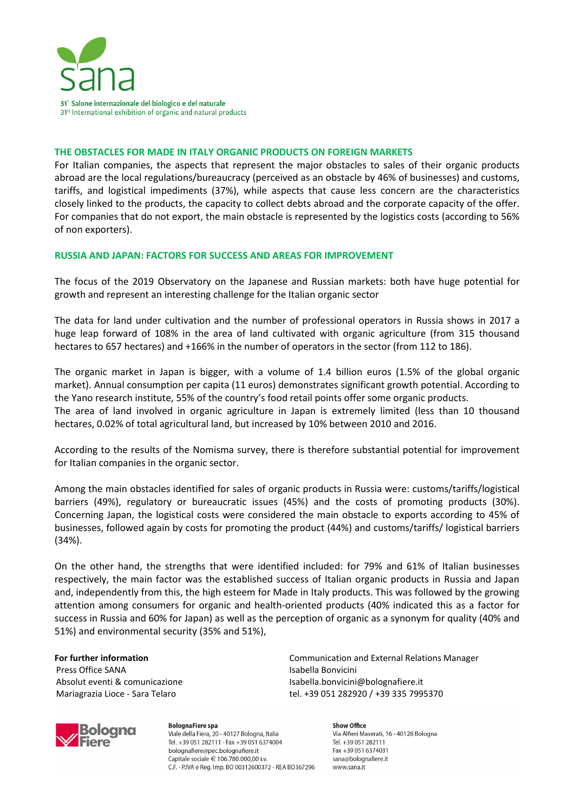

#### **THE OBSTACLES FOR MADE IN ITALY ORGANIC PRODUCTS ON FOREIGN MARKETS**

For Italian companies, the aspects that represent the major obstacles to sales of their organic products abroad are the local regulations/bureaucracy (perceived as an obstacle by 46% of businesses) and customs, tariffs, and logistical impediments (37%), while aspects that cause less concern are the characteristics closely linked to the products, the capacity to collect debts abroad and the corporate capacity of the offer. For companies that do not export, the main obstacle is represented by the logistics costs (according to 56% of non exporters).

### **RUSSIA AND JAPAN: FACTORS FOR SUCCESS AND AREAS FOR IMPROVEMENT**

The focus of the 2019 Observatory on the Japanese and Russian markets: both have huge potential for growth and represent an interesting challenge for the Italian organic sector

The data for land under cultivation and the number of professional operators in Russia shows in 2017 a huge leap forward of 108% in the area of land cultivated with organic agriculture (from 315 thousand hectares to 657 hectares) and +166% in the number of operators in the sector (from 112 to 186).

The organic market in Japan is bigger, with a volume of 1.4 billion euros (1.5% of the global organic market). Annual consumption per capita (11 euros) demonstrates significant growth potential. According to the Yano research institute, 55% of the country's food retail points offer some organic products. The area of land involved in organic agriculture in Japan is extremely limited (less than 10 thousand hectares, 0.02% of total agricultural land, but increased by 10% between 2010 and 2016.

According to the results of the Nomisma survey, there is therefore substantial potential for improvement for Italian companies in the organic sector.

Among the main obstacles identified for sales of organic products in Russia were: customs/tariffs/logistical barriers (49%), regulatory or bureaucratic issues (45%) and the costs of promoting products (30%). Concerning Japan, the logistical costs were considered the main obstacle to exports according to 45% of businesses, followed again by costs for promoting the product (44%) and customs/tariffs/ logistical barriers (34%).

On the other hand, the strengths that were identified included: for 79% and 61% of Italian businesses respectively, the main factor was the established success of Italian organic products in Russia and Japan and, independently from this, the high esteem for Made in Italy products. This was followed by the growing attention among consumers for organic and health-oriented products (40% indicated this as a factor for success in Russia and 60% for Japan) as well as the perception of organic as a synonym for quality (40% and 51%) and environmental security (35% and 51%),

## **For further information** Press Office SANA Absolut eventi & comunicazione Mariagrazia Lioce - Sara Telaro

**BolognaFiere spa** Viale della Fiera, 20 - 40127 Bologna, Italia Tel. +39 051 282111 - Fax +39 051 6374004 bolognafiere@pec.bolognafiere.it Capitale sociale € 106.780.000.00 i.v. C.F. - P.IVA e Reg. Imp. BO 00312600372 - REA BO367296

Communication and External Relations Manager Isabella Bonvicini Isabella.bonvicini@bolognafiere.it tel. +39 051 282920 / +39 335 7995370

> Show Office Via Alfieri Maserati, 16 - 40128 Bologna Tel. +39 051 282111 Fax +39 051 6374031 sana@bolognafiere.it www.sana.it